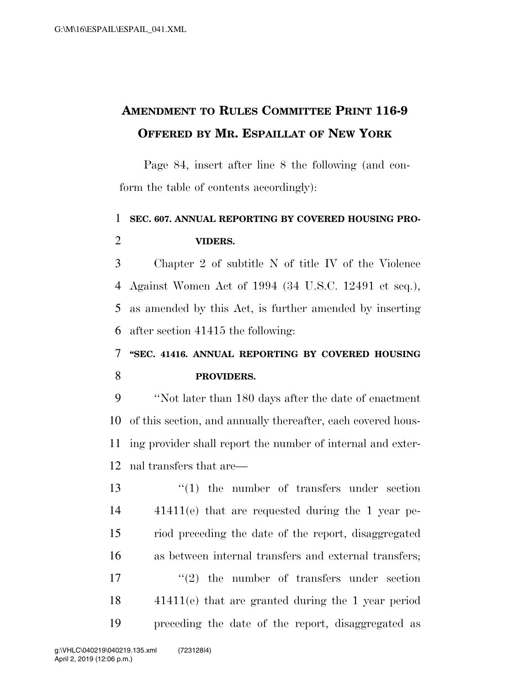## **AMENDMENT TO RULES COMMITTEE PRINT 116-9 OFFERED BY MR. ESPAILLAT OF NEW YORK**

Page 84, insert after line 8 the following (and conform the table of contents accordingly):

## **SEC. 607. ANNUAL REPORTING BY COVERED HOUSING PRO-VIDERS.**

 Chapter 2 of subtitle N of title IV of the Violence Against Women Act of 1994 (34 U.S.C. 12491 et seq.), as amended by this Act, is further amended by inserting after section 41415 the following:

## **''SEC. 41416. ANNUAL REPORTING BY COVERED HOUSING PROVIDERS.**

 ''Not later than 180 days after the date of enactment of this section, and annually thereafter, each covered hous- ing provider shall report the number of internal and exter-nal transfers that are—

13 ''(1) the number of transfers under section 41411(e) that are requested during the 1 year pe- riod preceding the date of the report, disaggregated as between internal transfers and external transfers;  $\frac{17}{2}$  the number of transfers under section 41411(e) that are granted during the 1 year period preceding the date of the report, disaggregated as